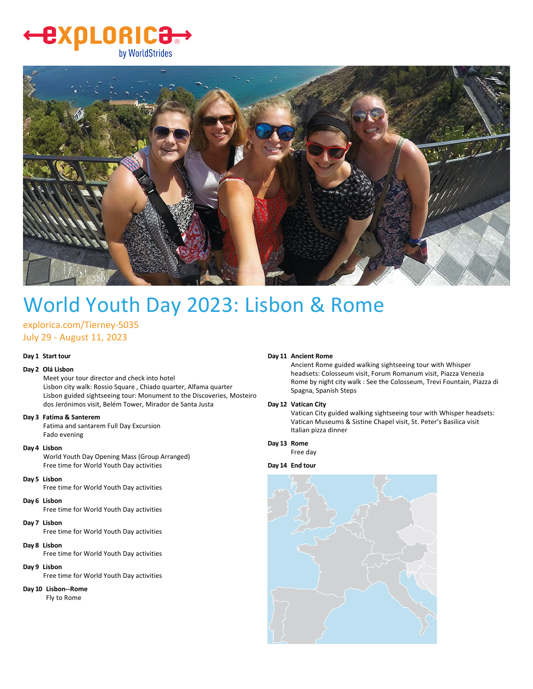### LORIC<del>3.</del> 25 by WorldStrides



# World Youth Day 2023: Lisbon & Rome

explorica.com/Tierney‐5035 July 29 ‐ August 11, 2023

#### **Day 1 Start tour**

#### **Day 2 Olá Lisbon**

Meet your tour director and check into hotel Lisbon city walk: Rossio Square , Chiado quarter, Alfama quarter Lisbon guided sightseeing tour: Monument to the Discoveries, Mosteiro dos Jerónimos visit, Belém Tower, Mirador de Santa Justa

#### **Day 3 Fatima & Santerem**

Fatima and santarem Full Day Excursion Fado evening

#### **Day 4 Lisbon**

World Youth Day Opening Mass (Group Arranged) Free time for World Youth Day activities

#### **Day 5 Lisbon**

Free time for World Youth Day activities

#### **Day 6 Lisbon**

Free time for World Youth Day activities

#### **Day 7 Lisbon**

Free time for World Youth Day activities

#### **Day 8 Lisbon**

Free time for World Youth Day activities

#### **Day 9 Lisbon**

Free time for World Youth Day activities

#### **Day 10 Lisbon‐‐Rome**

Fly to Rome

#### **Day 11 Ancient Rome**

Ancient Rome guided walking sightseeing tour with Whisper headsets: Colosseum visit, Forum Romanum visit, Piazza Venezia Rome by night city walk : See the Colosseum, Trevi Fountain, Piazza di Spagna, Spanish Steps

#### **Day 12 Vatican City**

Vatican City guided walking sightseeing tour with Whisper headsets: Vatican Museums & Sistine Chapel visit, St. Peter's Basilica visit Italian pizza dinner

#### **Day 13 Rome**

Free day

#### **Day 14 End tour**